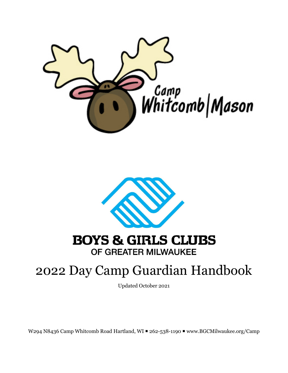



# **BOYS & GIRLS CLUBS** OF GREATER MILWAUKEE

# 2022 Day Camp Guardian Handbook

Updated October 2021

W294 N8436 Camp Whitcomb Road Hartland, WI = 262-538-1190 = www.BGCMilwaukee.org/Camp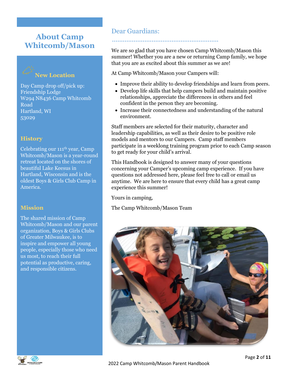# **About Camp Whitcomb/Mason**

# **New Location**

Day Camp drop off/pick up: Friendship Lodge W294 N8436 Camp Whitcomb Road Hartland, WI 53029

## **History**

Celebrating our 111 th year, Camp Whitcomb/Mason is a year-round retreat located on the shores of beautiful Lake Keesus in Hartland, Wisconsin and is the oldest Boys & Girls Club Camp in America.

## **Mission**

The shared mission of Camp Whitcomb/Mason and our parent organization, Boys & Girls Clubs of Greater Milwaukee, is to inspire and empower all young people, especially those who need us most, to reach their full potential as productive, caring, and responsible citizens.

# Dear Guardians:

...........................................................

We are so glad that you have chosen Camp Whitcomb/Mason this summer! Whether you are a new or returning Camp family, we hope that you are as excited about this summer as we are!

At Camp Whitcomb/Mason your Campers will:

- Improve their ability to develop friendships and learn from peers.
- Develop life skills that help campers build and maintain positive relationships, appreciate the differences in others and feel confident in the person they are becoming.
- Increase their connectedness and understanding of the natural environment.

Staff members are selected for their maturity, character and leadership capabilities, as well as their desire to be positive role models and mentors to our Campers. Camp staff members participate in a weeklong training program prior to each Camp season to get ready for your child's arrival.

This Handbook is designed to answer many of your questions concerning your Camper's upcoming camp experience. If you have questions not addressed here, please feel free to call or email us anytime. We are here to ensure that every child has a great camp experience this summer!

Yours in camping,

The Camp Whitcomb/Mason Team



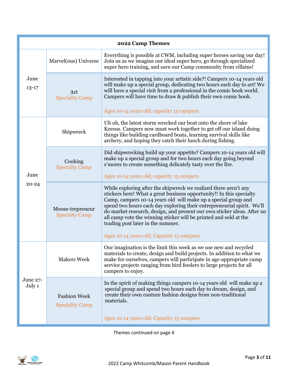| 2022 Camp Themes   |                                               |                                                                                                                                                                                                                                                                                                                                                                                                                                                                                                                        |  |  |
|--------------------|-----------------------------------------------|------------------------------------------------------------------------------------------------------------------------------------------------------------------------------------------------------------------------------------------------------------------------------------------------------------------------------------------------------------------------------------------------------------------------------------------------------------------------------------------------------------------------|--|--|
| June<br>$13 - 17$  | Marvel(ous) Universe                          | Everything is possible at CWM, including super heroes saving our day!<br>Join us as we imagine our ideal super hero, go through specialized<br>super hero training, and save our Camp community from villains!                                                                                                                                                                                                                                                                                                         |  |  |
|                    | Art<br><b>Speciality Camp</b>                 | Interested in tapping into your artistic side?! Campers 10-14 years old<br>will make up a special group, dedicating two hours each day to art! We<br>will have a special visit from a professional in the comic book world.<br>Campers will have time to draw & publish their own comic book.<br>Ages 10-14 years old; capacity 15 campers                                                                                                                                                                             |  |  |
| June<br>$20 - 24$  | Shipwreck                                     | Uh oh, the latest storm wrecked our boat onto the shore of lake<br>Keesus. Campers now must work together to get off our island doing<br>things like building cardboard boats, learning survival skills like<br>archery, and hoping they catch their lunch during fishing.                                                                                                                                                                                                                                             |  |  |
|                    | Cooking<br><b>Specialty Camp</b>              | Did shipwrecking build up your appetite? Campers 10-14 years old will<br>make up a special group and for two hours each day going beyond<br>s' mores to create something delicately tasty over the fire.<br>Ages 10-14 years old; capacity 15 campers                                                                                                                                                                                                                                                                  |  |  |
|                    | Moose-trepreneur<br><b>Specialty Camp</b>     | While exploring after the shipwreck we realized there aren't any<br>stickers here! What a great business opportunity!! In this specialty<br>Camp, campers 10-14 years old will make up a special group and<br>spend two hours each day exploring their entrepreneurial spirit. We'll<br>do market research, design, and present our own sticker ideas. After an<br>all camp vote the winning sticker will be printed and sold at the<br>trading post later in the summer.<br>Ages 10-14 years old; Capacity 15 campers |  |  |
| June 27-<br>July 1 | <b>Makers Week</b>                            | Our imagination is the limit this week as we use new and recycled<br>materials to create, design and build projects. In addition to what we<br>make for ourselves, campers will participate in age-appropriate camp<br>service projects ranging from bird feeders to large projects for all<br>campers to enjoy.                                                                                                                                                                                                       |  |  |
|                    | <b>Fashion Week</b><br><b>Speciality Camp</b> | In the spirit of making things campers 10-14 years old will make up a<br>special group and spend two hours each day to dream, design, and<br>create their own couture fashion designs from non-traditional<br>materials.<br>Ages 10-14 years old; Capacity 15 campers                                                                                                                                                                                                                                                  |  |  |

Themes continued on page 4

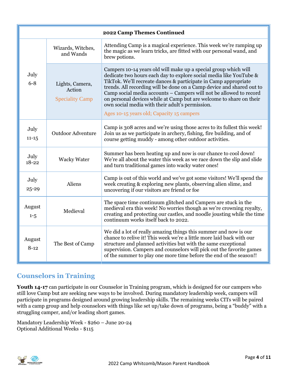| 2022 Camp Themes Continued |                                                     |                                                                                                                                                                                                                                                                                                                                                                                                                                                                                                                                |  |  |
|----------------------------|-----------------------------------------------------|--------------------------------------------------------------------------------------------------------------------------------------------------------------------------------------------------------------------------------------------------------------------------------------------------------------------------------------------------------------------------------------------------------------------------------------------------------------------------------------------------------------------------------|--|--|
| July<br>$6 - 8$            | Wizards, Witches,<br>and Wands                      | Attending Camp is a magical experience. This week we're ramping up<br>the magic as we learn tricks, are fitted with our personal wand, and<br>brew potions.                                                                                                                                                                                                                                                                                                                                                                    |  |  |
|                            | Lights, Camera,<br>Action<br><b>Speciality Camp</b> | Campers 10-14 years old will make up a special group which will<br>dedicate two hours each day to explore social media like YouTube &<br>TikTok. We'll recreate dances & participate in Camp appropriate<br>trends. All recording will be done on a Camp device and shared out to<br>Camp social media accounts - Campers will not be allowed to record<br>on personal devices while at Camp but are welcome to share on their<br>own social media with their adult's permission.<br>Ages 10-15 years old; Capacity 15 campers |  |  |
| July<br>$11 - 15$          | <b>Outdoor Adventure</b>                            | Camp is 308 acres and we're using those acres to its fullest this week!<br>Join us as we participate in archery, fishing, fire building, and of<br>course getting muddy - among other outdoor activities.                                                                                                                                                                                                                                                                                                                      |  |  |
| July<br>$18 - 22$          | <b>Wacky Water</b>                                  | Summer has been heating up and now is our chance to cool down!<br>We're all about the water this week as we race down the slip and slide<br>and turn traditional games into wacky water ones!                                                                                                                                                                                                                                                                                                                                  |  |  |
| July<br>25-29              | Aliens                                              | Camp is out of this world and we've got some visitors! We'll spend the<br>week creating & exploring new plants, observing alien slime, and<br>uncovering if our visitors are friend or foe                                                                                                                                                                                                                                                                                                                                     |  |  |
| August<br>$1 - 5$          | Medieval                                            | The space time continuum glitched and Campers are stuck in the<br>medieval era this week! No worries though as we're crowning royalty,<br>creating and protecting our castles, and noodle jousting while the time<br>continuum works itself back to 2022.                                                                                                                                                                                                                                                                      |  |  |
| August<br>$8-12$           | The Best of Camp                                    | We did a lot of really amazing things this summer and now is our<br>chance to relive it! This week we're a little more laid back with our<br>structure and planned activities but with the same exceptional<br>supervision. Campers and counselors will pick out the favorite games<br>of the summer to play one more time before the end of the season!!                                                                                                                                                                      |  |  |

# **Counselors in Training**

Youth 14-17 can participate in our Counselor in Training program, which is designed for our campers who still love Camp but are seeking new ways to be involved. During mandatory leadership week, campers will participate in programs designed around growing leadership skills. The remaining weeks CITs will be paired with a camp group and help counselors with things like set up/take down of programs, being a "buddy" with a struggling camper, and/or leading short games.

Mandatory Leadership Week - \$260 – June 20-24 Optional Additional Weeks - \$115

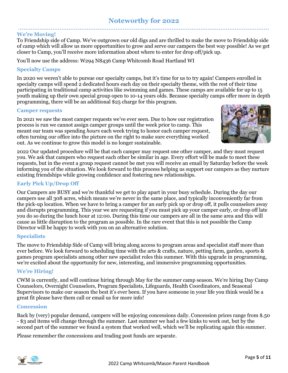# **Noteworthy for 2022**

#### ........................................................................................................................................... **We're Moving!**

To Friendship side of Camp. We've outgrown our old digs and are thrilled to make the move to Friendship side of camp which will allow us more opportunities to grow and serve our campers the best way possible! As we get closer to Camp, you'll receive more information about where to enter for drop off/pick up.

You'll now use the address: W294 N8436 Camp Whitcomb Road Hartland WI

## **Specialty Camps**

In 2020 we weren't able to pursue our specialty camps, but it's time for us to try again! Campers enrolled in specialty camps will spend 2 dedicated hours each day on their specialty theme, with the rest of their time participating in traditional camp activities like swimming and games. These camps are available for up to 15 youth making up their own special group open to 10-14 years olds. Because specialty camps offer more in depth programming, there will be an additional \$25 charge for this program.

#### **Camper requests**

In 2021 we saw the most camper requests we've ever seen. Due to how our registration process is run we cannot assign camper groups until the week prior to camp. This meant our team was spending *hours* each week trying to honor each camper request, often turning our office into the picture on the right to make sure everything worked out. As we continue to grow this model is no longer sustainable.



2022 Our updated procedure will be that each camper may request one other camper, and they must request you. We ask that campers who request each other be similar in age. Every effort will be made to meet these requests, but in the event a group request cannot be met you will receive an email by Saturday before the week informing you of the situation. We look forward to this process helping us support our campers as they nurture existing friendships while growing confidence and fostering new relationships.

#### **Early Pick Up/Drop Off**

Our Campers are BUSY and we're thankful we get to play apart in your busy schedule. During the day our campers use all 308 acres, which means we're never in the same place, and typically inconveniently far from the pick-up location. When we have to bring a camper for an early pick up or drop off, it pulls counselors away and disrupts programming. This year we are requesting if you must pick up your camper early, or drop off late you do so during the lunch hour at 12:00. During this time our campers are all in the same area and this will cause as little disruption to the program as possible. In the rare event that this is not possible the Camp Director will be happy to work with you on an alternative solution.

#### **Specialists**

The move to Friendship Side of Camp will bring along access to program areas and specialist staff more than ever before. We look forward to scheduling time with the arts & crafts, nature, petting farm, garden, sports & games program specialists among other new specialist roles this summer. With this upgrade in programming, we're excited about the opportunity for new, interesting, and immersive programming opportunities.

#### **We're Hiring!**

CWM is currently, and will continue hiring through May for the summer camp season. We're hiring Day Camp Counselors, Overnight Counselors, Program Specialists, Lifeguards, Health Coordinators, and Seasonal Supervisors to make our season the best it's ever been. If you have someone in your life you think would be a great fit please have them call or email us for more info!

#### **Concession**

Back by (very) popular demand, campers will be enjoying concessions daily. Concession prices range from \$.50 - \$3 and items will change through the summer. Last summer we had a few kinks to work out, but by the second part of the summer we found a system that worked well, which we'll be replicating again this summer.

Please remember the concessions and trading post funds are separate.

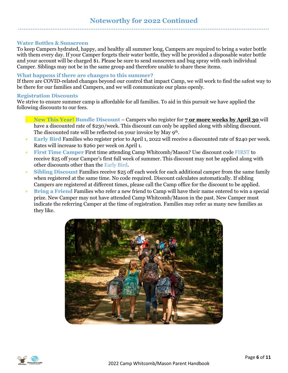#### **Water Bottles & Sunscreen**

To keep Campers hydrated, happy, and healthy all summer long, Campers are required to bring a water bottle with them every day. If your Camper forgets their water bottle, they will be provided a disposable water bottle and your account will be charged \$1. Please be sure to send sunscreen and bug spray with each individual Camper. Siblings may not be in the same group and therefore unable to share these items.

#### **What happens if there are changes to this summer?**

If there are COVID-related changes beyond our control that impact Camp, we will work to find the safest way to be there for our families and Campers, and we will communicate our plans openly.

#### **Registration Discounts**

We strive to ensure summer camp is affordable for all families. To aid in this pursuit we have applied the following discounts to our fees.

- **New This Year! Bundle Discount** Campers who register for **7 or more weeks by April 30** will have a discounted rate of \$230/week. This discount can only be applied along with sibling discount. The discounted rate will be reflected on your invoice by May 9<sup>th</sup>.
- **Early Bird** Families who register prior to April 1, 2022 will receive a discounted rate of \$240 per week. Rates will increase to \$260 per week on April 1.
- **First Time Camper** First time attending Camp Whitcomb/Mason? Use discount code FIRST to receive \$25 off your Camper's first full week of summer. This discount may not be applied along with other discounts other than the Early Bird.
- **Sibling Discount** Families receive \$25 off each week for each additional camper from the same family when registered at the same time. No code required. Discount calculates automatically. If sibling Campers are registered at different times, please call the Camp office for the discount to be applied.
- **Bring a Friend** Families who refer a new friend to Camp will have their name entered to win a special prize. New Camper may not have attended Camp Whitcomb/Mason in the past. New Camper must indicate the referring Camper at the time of registration. Families may refer as many new families as they like.



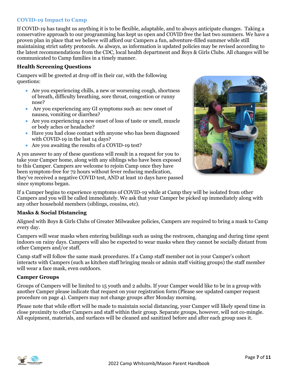### **COVID-19 Impact to Camp**

If COVID-19 has taught us anything it is to be flexible, adaptable, and to always anticipate changes. Taking a conservative approach to our programming has kept us open and COVID free the last two summers. We have a proven plan in place that we believe will afford our Campers a fun, adventure-filled summer while still maintaining strict safety protocols. As always, as information is updated policies may be revised according to the latest recommendations from the CDC, local health department and Boys & Girls Clubs. All changes will be communicated to Camp families in a timely manner.

#### **Health Screening Questions**

Campers will be greeted at drop off in their car, with the following questions:

- Are you experiencing chills, a new or worsening cough, shortness of breath, difficulty breathing, sore throat, congestion or runny nose?
- Are you experiencing any GI symptoms such as: new onset of nausea, vomiting or diarrhea?
- Are you experiencing a new onset of loss of taste or smell, muscle or body aches or headache?
- Have you had close contact with anyone who has been diagnosed with COVID-19 in the last 14 days?
- Are you awaiting the results of a COVID-19 test?

A yes answer to any of these questions will result in a request for you to take your Camper home, along with any siblings who have been exposed to this Camper. Campers are welcome to rejoin Camp once they have been symptom-free for 72 hours without fever reducing medication, they've received a negative COVID test, AND at least 10 days have passed since symptoms began.



If a Camper begins to experience symptoms of COVID-19 while at Camp they will be isolated from other Campers and you will be called immediately. We ask that your Camper be picked up immediately along with any other household members (siblings, cousins, etc).

#### **Masks & Social Distancing**

Aligned with Boys & Girls Clubs of Greater Milwaukee policies, Campers are required to bring a mask to Camp every day.

Campers will wear masks when entering buildings such as using the restroom, changing and during time spent indoors on rainy days. Campers will also be expected to wear masks when they cannot be socially distant from other Campers and/or staff.

Camp staff will follow the same mask procedures. If a Camp staff member not in your Camper's cohort interacts with Campers (such as kitchen staff bringing meals or admin staff visiting groups) the staff member will wear a face mask, even outdoors.

#### **Camper Groups**

Groups of Campers will be limited to 15 youth and 2 adults. If your Camper would like to be in a group with another Camper please indicate that request on your registration form (Please see updated camper request procedure on page 4). Campers may not change groups after Monday morning.

Please note that while effort will be made to maintain social distancing, your Camper will likely spend time in close proximity to other Campers and staff within their group. Separate groups, however, will not co-mingle. All equipment, materials, and surfaces will be cleaned and sanitized before and after each group uses it.

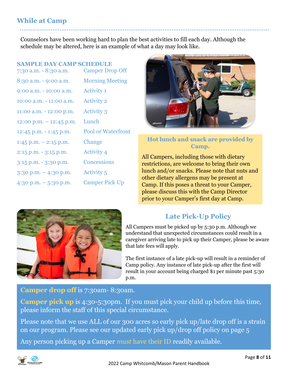# **While at Camp**

Counselors have been working hard to plan the best activities to fill each day. Although the schedule may be altered, here is an example of what a day may look like.

..........................................................................................................................................

## **SAMPLE DAY CAMP SCHEDULE**

| 7:30 a.m. - 8:30 a.m.    | <b>Camper Drop Off</b>    |
|--------------------------|---------------------------|
| 8:30 a.m. - 9:00 a.m.    | <b>Morning Meeting</b>    |
| 9:00 a.m. - 10:00 a.m.   | <b>Activity 1</b>         |
| 10:00 a.m. - 11:00 a.m.  | <b>Activity 2</b>         |
| 11:00 a.m. - 12:00 p.m.  | <b>Activity 3</b>         |
| 12:00 p.m. $-12:45$ p.m. | Lunch                     |
| 12:45 p.m. $-$ 1:45 p.m. | <b>Pool or Waterfront</b> |
| $1:45$ p.m. $-2:15$ p.m. | Change                    |
| 2:15 p.m. - 3:15 p.m.    | <b>Activity 4</b>         |
| 3:15 p.m. - 3:30 p.m.    | <b>Concessions</b>        |
| $3:30$ p.m. $-4:30$ p.m. | <b>Activity 5</b>         |
| $4:30$ p.m. $-5:30$ p.m. | <b>Camper Pick Up</b>     |
|                          |                           |



## **Hot lunch and snack are provided by Camp.**

All Campers, including those with dietary restrictions, are welcome to bring their own lunch and/or snacks. Please note that nuts and other dietary allergens may be present at Camp. If this poses a threat to your Camper, please discuss this with the Camp Director prior to your Camper's first day at Camp.



# **Late Pick-Up Policy**

All Campers must be picked up by 5:30 p.m. Although we understand that unexpected circumstances could result in a caregiver arriving late to pick up their Camper, please be aware that late fees will apply.

The first instance of a late pick-up will result in a reminder of Camp policy. Any instance of late pick-up after the first will result in your account being charged \$1 per minute past 5:30 p.m.

# **Camper drop off** is 7:30am-8:30am.

**Camper pick up** is 4:30-5:30pm. If you must pick your child up before this time, please inform the staff of this special circumstance.

Please note that we use ALL of our 300 acres so early pick up/late drop off is a strain on our program. Please see our updated early pick up/drop off policy on page 5

Any person picking up a Camper *must* have their ID readily available.

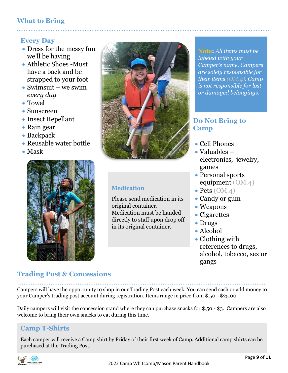# **What to Bring**

# **Every Day**

- Dress for the messy fun we'll be having
- Athletic Shoes -Must have a back and be strapped to your foot
- Swimsuit we swim *every day*
- Towel
- Sunscreen
- Insect Repellant
- Rain gear
- Backpack
- Reusable water bottle
- Mask





.....................................................................................................................................................

# **Medication**

Please send medication in its original container. Medication must be handed directly to staff upon drop off in its original container.

**Note:** *All items must be labeled with your Camper's name. Campers are solely responsible for their items (OM.4). Camp is not responsible for lost or damaged belongings.*

# **Do Not Bring to Camp**

- Cell Phones
- Valuables electronics, jewelry, games
- Personal sports equipment (OM.4)
- Pets (OM.4)
- Candy or gum
- Weapons
- Cigarettes
- Drugs
- Alcohol
- Clothing with references to drugs, alcohol, tobacco, sex or gangs

# **Trading Post & Concessions**

......................................................................................................................................... Campers will have the opportunity to shop in our Trading Post each week. You can send cash or add money to your Camper's trading post account during registration. Items range in price from \$.50 - \$25.00.

Daily campers will visit the concession stand where they can purchase snacks for \$.50 - \$3. Campers are also welcome to bring their own snacks to eat during this time.

# **Camp T-Shirts**

Each camper will receive a Camp shirt by Friday of their first week of Camp. Additional camp shirts can be purchased at the Trading Post.

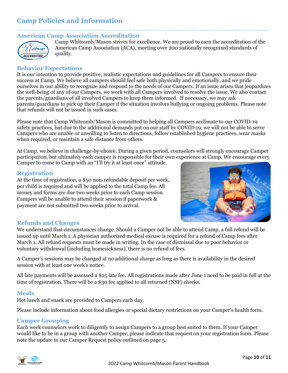# **Camp Policies and Information**

#### ..................................................................................................................................................... **American Camp Association Accreditation**



Camp Whitcomb/Mason strives for excellence. We are proud to earn the accreditation of the American Camp Association (ACA), meeting over 200 nationally recognized standards of quality.

## **Behavior Expectations**

It is our intention to provide positive, realistic expectations and guidelines for all Campers to ensure their success at Camp. We believe all campers should feel safe both physically and emotionally, and we pride ourselves in our ability to recognize and respond to the needs of our Campers. If an issue arises that jeopardizes the well-being of any of our Campers, we work with all Campers involved to resolve the issue. We also contact the parents/guardians of all involved Campers to keep them informed. If necessary, we may ask parents/guardians to pick up their Camper if the situation involves bullying or ongoing problems. Please note that refunds will not be issued in such cases.

Please note that Camp Whitcomb/Mason is committed to helping all Campers acclimate to our COVID-19 safety practices, but due to the additional demands put on our staff by COVID-19, we will not be able to serve Campers who are unable or unwilling to listen to directions, follow established hygiene practices, wear masks when required, or maintain a safe distance from others.

At Camp, we believe in challenge-by-choice. During a given period, counselors will strongly encourage Camper participation, but ultimately each camper is responsible for their own experience at Camp. We encourage every

Camper to come to Camp with an "I'll try it at least once" attitude.

## **Registration**

At the time of registration, a \$50 non-refundable deposit per week, per child is required and will be applied to the total Camp fee. All money and forms are due two weeks prior to each Camp session. Campers will be unable to attend their session if paperwork & payment are not submitted two weeks prior to arrival.



## **Refunds and Changes**

We understand that circumstances change. Should a Camper not be able to attend Camp, a full refund will be issued up until March 1. A physician authorized medical excuse is required for a refund of Camp fees after March 1. All refund requests must be made in writing. In the case of dismissal due to poor behavior or voluntary withdrawal (including homesickness), there is no refund of fees.

A Camper's sessions may be changed at no additional charge as long as there is availability in the desired session with at least one week's notice.

All late payments will be assessed a \$25 late fee. All registrations made after June 1 need to be paid in full at the time of registration. There will be a \$30 fee applied to all returned (NSF) checks.

## **Meals**

Hot lunch and snack are provided to Campers each day.

Please include information about food allergies or special dietary restrictions on your Camper's health form.

## **Camper Grouping**

Each week counselors work to diligently to assign Campers to a group best suited to them. If your Camper would like to be in a group with another Camper, please indicate that request on your registration form. Please note the update to our Camper Request policy outlined on page 5.